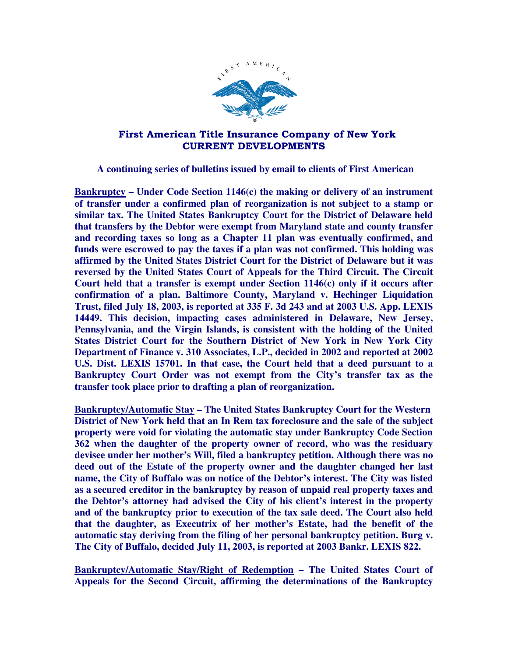

## First American Title Insurance Company of New York CURRENT DEVELOPMENTS

 **A continuing series of bulletins issued by email to clients of First American** 

**Bankruptcy – Under Code Section 1146(c) the making or delivery of an instrument of transfer under a confirmed plan of reorganization is not subject to a stamp or similar tax. The United States Bankruptcy Court for the District of Delaware held that transfers by the Debtor were exempt from Maryland state and county transfer and recording taxes so long as a Chapter 11 plan was eventually confirmed, and funds were escrowed to pay the taxes if a plan was not confirmed. This holding was affirmed by the United States District Court for the District of Delaware but it was reversed by the United States Court of Appeals for the Third Circuit. The Circuit Court held that a transfer is exempt under Section 1146(c) only if it occurs after confirmation of a plan. Baltimore County, Maryland v. Hechinger Liquidation Trust, filed July 18, 2003, is reported at 335 F. 3d 243 and at 2003 U.S. App. LEXIS 14449. This decision, impacting cases administered in Delaware, New Jersey, Pennsylvania, and the Virgin Islands, is consistent with the holding of the United States District Court for the Southern District of New York in New York City Department of Finance v. 310 Associates, L.P., decided in 2002 and reported at 2002 U.S. Dist. LEXIS 15701. In that case, the Court held that a deed pursuant to a Bankruptcy Court Order was not exempt from the City's transfer tax as the transfer took place prior to drafting a plan of reorganization.** 

**Bankruptcy/Automatic Stay – The United States Bankruptcy Court for the Western District of New York held that an In Rem tax foreclosure and the sale of the subject property were void for violating the automatic stay under Bankruptcy Code Section 362 when the daughter of the property owner of record, who was the residuary devisee under her mother's Will, filed a bankruptcy petition. Although there was no deed out of the Estate of the property owner and the daughter changed her last name, the City of Buffalo was on notice of the Debtor's interest. The City was listed as a secured creditor in the bankruptcy by reason of unpaid real property taxes and the Debtor's attorney had advised the City of his client's interest in the property and of the bankruptcy prior to execution of the tax sale deed. The Court also held that the daughter, as Executrix of her mother's Estate, had the benefit of the automatic stay deriving from the filing of her personal bankruptcy petition. Burg v. The City of Buffalo, decided July 11, 2003, is reported at 2003 Bankr. LEXIS 822.** 

**Bankruptcy/Automatic Stay/Right of Redemption – The United States Court of Appeals for the Second Circuit, affirming the determinations of the Bankruptcy**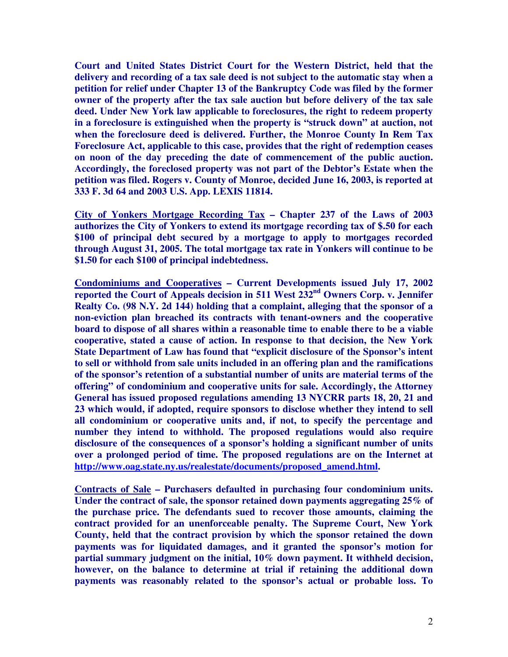**Court and United States District Court for the Western District, held that the delivery and recording of a tax sale deed is not subject to the automatic stay when a petition for relief under Chapter 13 of the Bankruptcy Code was filed by the former owner of the property after the tax sale auction but before delivery of the tax sale deed. Under New York law applicable to foreclosures, the right to redeem property in a foreclosure is extinguished when the property is "struck down" at auction, not when the foreclosure deed is delivered. Further, the Monroe County In Rem Tax Foreclosure Act, applicable to this case, provides that the right of redemption ceases on noon of the day preceding the date of commencement of the public auction. Accordingly, the foreclosed property was not part of the Debtor's Estate when the petition was filed. Rogers v. County of Monroe, decided June 16, 2003, is reported at 333 F. 3d 64 and 2003 U.S. App. LEXIS 11814.** 

**City of Yonkers Mortgage Recording Tax – Chapter 237 of the Laws of 2003 authorizes the City of Yonkers to extend its mortgage recording tax of \$.50 for each \$100 of principal debt secured by a mortgage to apply to mortgages recorded through August 31, 2005. The total mortgage tax rate in Yonkers will continue to be \$1.50 for each \$100 of principal indebtedness.** 

**Condominiums and Cooperatives – Current Developments issued July 17, 2002 reported the Court of Appeals decision in 511 West 232nd Owners Corp. v. Jennifer Realty Co. (98 N.Y. 2d 144) holding that a complaint, alleging that the sponsor of a non-eviction plan breached its contracts with tenant-owners and the cooperative board to dispose of all shares within a reasonable time to enable there to be a viable cooperative, stated a cause of action. In response to that decision, the New York State Department of Law has found that "explicit disclosure of the Sponsor's intent to sell or withhold from sale units included in an offering plan and the ramifications of the sponsor's retention of a substantial number of units are material terms of the offering" of condominium and cooperative units for sale. Accordingly, the Attorney General has issued proposed regulations amending 13 NYCRR parts 18, 20, 21 and 23 which would, if adopted, require sponsors to disclose whether they intend to sell all condominium or cooperative units and, if not, to specify the percentage and number they intend to withhold. The proposed regulations would also require disclosure of the consequences of a sponsor's holding a significant number of units over a prolonged period of time. The proposed regulations are on the Internet at http://www.oag.state.ny.us/realestate/documents/proposed\_amend.html.** 

**Contracts of Sale – Purchasers defaulted in purchasing four condominium units. Under the contract of sale, the sponsor retained down payments aggregating 25% of the purchase price. The defendants sued to recover those amounts, claiming the contract provided for an unenforceable penalty. The Supreme Court, New York County, held that the contract provision by which the sponsor retained the down payments was for liquidated damages, and it granted the sponsor's motion for partial summary judgment on the initial, 10% down payment. It withheld decision, however, on the balance to determine at trial if retaining the additional down payments was reasonably related to the sponsor's actual or probable loss. To**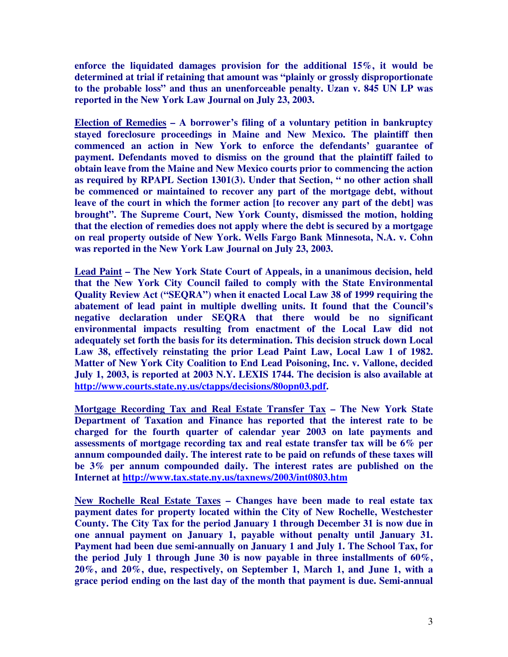**enforce the liquidated damages provision for the additional 15%, it would be determined at trial if retaining that amount was "plainly or grossly disproportionate to the probable loss" and thus an unenforceable penalty. Uzan v. 845 UN LP was reported in the New York Law Journal on July 23, 2003.** 

**Election of Remedies – A borrower's filing of a voluntary petition in bankruptcy stayed foreclosure proceedings in Maine and New Mexico. The plaintiff then commenced an action in New York to enforce the defendants' guarantee of payment. Defendants moved to dismiss on the ground that the plaintiff failed to obtain leave from the Maine and New Mexico courts prior to commencing the action as required by RPAPL Section 1301(3). Under that Section, " no other action shall be commenced or maintained to recover any part of the mortgage debt, without leave of the court in which the former action [to recover any part of the debt] was brought". The Supreme Court, New York County, dismissed the motion, holding that the election of remedies does not apply where the debt is secured by a mortgage on real property outside of New York. Wells Fargo Bank Minnesota, N.A. v. Cohn was reported in the New York Law Journal on July 23, 2003.** 

**Lead Paint – The New York State Court of Appeals, in a unanimous decision, held that the New York City Council failed to comply with the State Environmental Quality Review Act ("SEQRA") when it enacted Local Law 38 of 1999 requiring the abatement of lead paint in multiple dwelling units. It found that the Council's negative declaration under SEQRA that there would be no significant environmental impacts resulting from enactment of the Local Law did not adequately set forth the basis for its determination. This decision struck down Local Law 38, effectively reinstating the prior Lead Paint Law, Local Law 1 of 1982. Matter of New York City Coalition to End Lead Poisoning, Inc. v. Vallone, decided July 1, 2003, is reported at 2003 N.Y. LEXIS 1744. The decision is also available at http://www.courts.state.ny.us/ctapps/decisions/80opn03.pdf.** 

**Mortgage Recording Tax and Real Estate Transfer Tax – The New York State Department of Taxation and Finance has reported that the interest rate to be charged for the fourth quarter of calendar year 2003 on late payments and assessments of mortgage recording tax and real estate transfer tax will be 6% per annum compounded daily. The interest rate to be paid on refunds of these taxes will be 3% per annum compounded daily. The interest rates are published on the Internet at http://www.tax.state.ny.us/taxnews/2003/int0803.htm**

**New Rochelle Real Estate Taxes – Changes have been made to real estate tax payment dates for property located within the City of New Rochelle, Westchester County. The City Tax for the period January 1 through December 31 is now due in one annual payment on January 1, payable without penalty until January 31. Payment had been due semi-annually on January 1 and July 1. The School Tax, for the period July 1 through June 30 is now payable in three installments of 60%, 20%, and 20%, due, respectively, on September 1, March 1, and June 1, with a grace period ending on the last day of the month that payment is due. Semi-annual**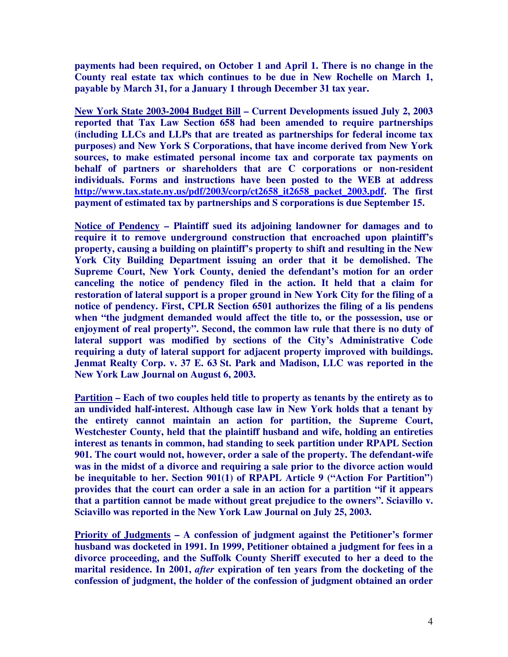**payments had been required, on October 1 and April 1. There is no change in the County real estate tax which continues to be due in New Rochelle on March 1, payable by March 31, for a January 1 through December 31 tax year.** 

**New York State 2003-2004 Budget Bill – Current Developments issued July 2, 2003 reported that Tax Law Section 658 had been amended to require partnerships (including LLCs and LLPs that are treated as partnerships for federal income tax purposes) and New York S Corporations, that have income derived from New York sources, to make estimated personal income tax and corporate tax payments on behalf of partners or shareholders that are C corporations or non-resident individuals. Forms and instructions have been posted to the WEB at address http://www.tax.state.ny.us/pdf/2003/corp/ct2658\_it2658\_packet\_2003.pdf. The first payment of estimated tax by partnerships and S corporations is due September 15.** 

**Notice of Pendency – Plaintiff sued its adjoining landowner for damages and to require it to remove underground construction that encroached upon plaintiff's property, causing a building on plaintiff's property to shift and resulting in the New York City Building Department issuing an order that it be demolished. The Supreme Court, New York County, denied the defendant's motion for an order canceling the notice of pendency filed in the action. It held that a claim for restoration of lateral support is a proper ground in New York City for the filing of a notice of pendency. First, CPLR Section 6501 authorizes the filing of a lis pendens when "the judgment demanded would affect the title to, or the possession, use or enjoyment of real property". Second, the common law rule that there is no duty of lateral support was modified by sections of the City's Administrative Code requiring a duty of lateral support for adjacent property improved with buildings. Jenmat Realty Corp. v. 37 E. 63 St. Park and Madison, LLC was reported in the New York Law Journal on August 6, 2003.** 

**Partition – Each of two couples held title to property as tenants by the entirety as to an undivided half-interest. Although case law in New York holds that a tenant by the entirety cannot maintain an action for partition, the Supreme Court, Westchester County, held that the plaintiff husband and wife, holding an entireties interest as tenants in common, had standing to seek partition under RPAPL Section 901. The court would not, however, order a sale of the property. The defendant-wife was in the midst of a divorce and requiring a sale prior to the divorce action would be inequitable to her. Section 901(1) of RPAPL Article 9 ("Action For Partition") provides that the court can order a sale in an action for a partition "if it appears that a partition cannot be made without great prejudice to the owners". Sciavillo v. Sciavillo was reported in the New York Law Journal on July 25, 2003.** 

**Priority of Judgments – A confession of judgment against the Petitioner's former husband was docketed in 1991. In 1999, Petitioner obtained a judgment for fees in a divorce proceeding, and the Suffolk County Sheriff executed to her a deed to the marital residence. In 2001,** *after* **expiration of ten years from the docketing of the confession of judgment, the holder of the confession of judgment obtained an order**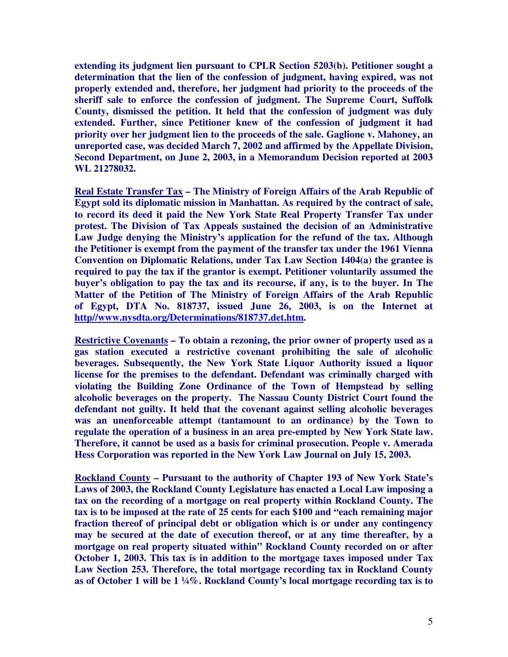**extending its judgment lien pursuant to CPLR Section 5203(b). Petitioner sought a determination that the lien of the confession of judgment, having expired, was not properly extended and, therefore, her judgment had priority to the proceeds of the sheriff sale to enforce the confession of judgment. The Supreme Court, Suffolk County, dismissed the petition. It held that the confession of judgment was duly extended. Further, since Petitioner knew of the confession of judgment it had priority over her judgment lien to the proceeds of the sale. Gaglione v. Mahoney, an unreported case, was decided March 7, 2002 and affirmed by the Appellate Division, Second Department, on June 2, 2003, in a Memorandum Decision reported at 2003 WL 21278032.** 

**Real Estate Transfer Tax – The Ministry of Foreign Affairs of the Arab Republic of Egypt sold its diplomatic mission in Manhattan. As required by the contract of sale, to record its deed it paid the New York State Real Property Transfer Tax under protest. The Division of Tax Appeals sustained the decision of an Administrative Law Judge denying the Ministry's application for the refund of the tax. Although the Petitioner is exempt from the payment of the transfer tax under the 1961 Vienna Convention on Diplomatic Relations, under Tax Law Section 1404(a) the grantee is required to pay the tax if the grantor is exempt. Petitioner voluntarily assumed the buyer's obligation to pay the tax and its recourse, if any, is to the buyer. In The Matter of the Petition of The Ministry of Foreign Affairs of the Arab Republic of Egypt, DTA No. 818737, issued June 26, 2003, is on the Internet at http//www.nysdta.org/Determinations/818737.det.htm.** 

**Restrictive Covenants – To obtain a rezoning, the prior owner of property used as a gas station executed a restrictive covenant prohibiting the sale of alcoholic beverages. Subsequently, the New York State Liquor Authority issued a liquor license for the premises to the defendant. Defendant was criminally charged with violating the Building Zone Ordinance of the Town of Hempstead by selling alcoholic beverages on the property. The Nassau County District Court found the defendant not guilty. It held that the covenant against selling alcoholic beverages was an unenforceable attempt (tantamount to an ordinance) by the Town to regulate the operation of a business in an area pre-empted by New York State law. Therefore, it cannot be used as a basis for criminal prosecution. People v. Amerada Hess Corporation was reported in the New York Law Journal on July 15, 2003.** 

**Rockland County – Pursuant to the authority of Chapter 193 of New York State's Laws of 2003, the Rockland County Legislature has enacted a Local Law imposing a tax on the recording of a mortgage on real property within Rockland County. The tax is to be imposed at the rate of 25 cents for each \$100 and "each remaining major fraction thereof of principal debt or obligation which is or under any contingency may be secured at the date of execution thereof, or at any time thereafter, by a mortgage on real property situated within" Rockland County recorded on or after October 1, 2003. This tax is in addition to the mortgage taxes imposed under Tax Law Section 253. Therefore, the total mortgage recording tax in Rockland County as of October 1 will be 1 ¼%. Rockland County's local mortgage recording tax is to**